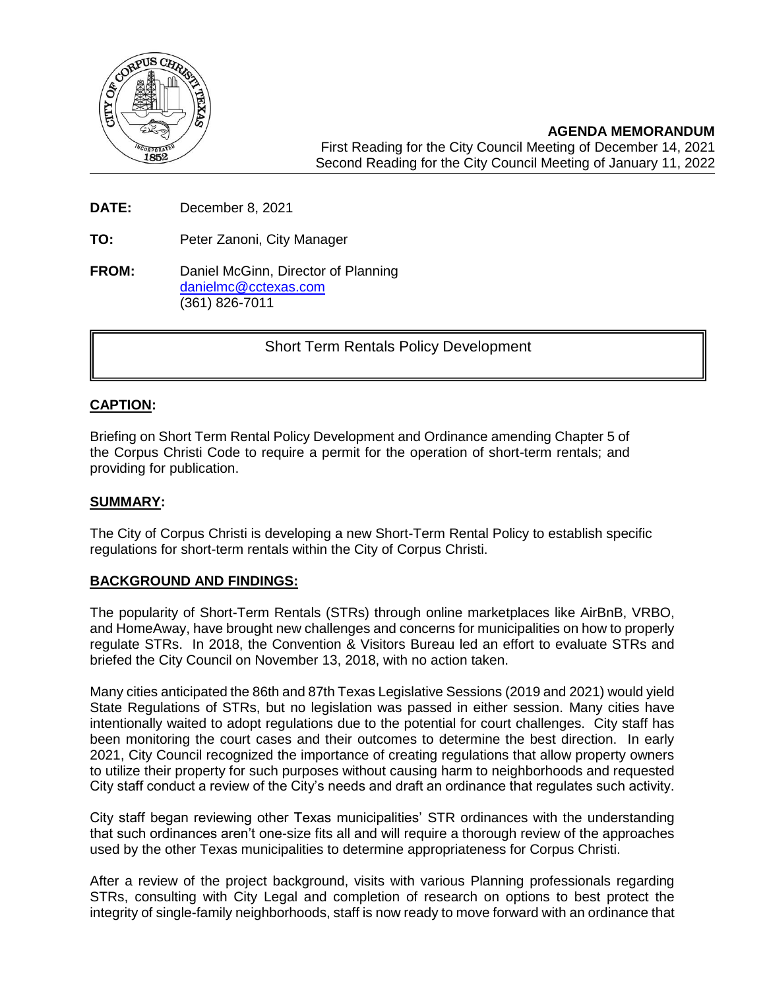

**DATE:** December 8, 2021

**TO:** Peter Zanoni, City Manager

**FROM:** Daniel McGinn, Director of Planning [danielmc@cctexas.com](mailto:danielmc@cctexas.com) (361) 826-7011

Short Term Rentals Policy Development

## **CAPTION:**

Ī

Briefing on Short Term Rental Policy Development and Ordinance amending Chapter 5 of the Corpus Christi Code to require a permit for the operation of short-term rentals; and providing for publication.

### **SUMMARY:**

The City of Corpus Christi is developing a new Short-Term Rental Policy to establish specific regulations for short-term rentals within the City of Corpus Christi.

## **BACKGROUND AND FINDINGS:**

The popularity of Short-Term Rentals (STRs) through online marketplaces like AirBnB, VRBO, and HomeAway, have brought new challenges and concerns for municipalities on how to properly regulate STRs. In 2018, the Convention & Visitors Bureau led an effort to evaluate STRs and briefed the City Council on November 13, 2018, with no action taken.

Many cities anticipated the 86th and 87th Texas Legislative Sessions (2019 and 2021) would yield State Regulations of STRs, but no legislation was passed in either session. Many cities have intentionally waited to adopt regulations due to the potential for court challenges. City staff has been monitoring the court cases and their outcomes to determine the best direction. In early 2021, City Council recognized the importance of creating regulations that allow property owners to utilize their property for such purposes without causing harm to neighborhoods and requested City staff conduct a review of the City's needs and draft an ordinance that regulates such activity.

City staff began reviewing other Texas municipalities' STR ordinances with the understanding that such ordinances aren't one-size fits all and will require a thorough review of the approaches used by the other Texas municipalities to determine appropriateness for Corpus Christi.

After a review of the project background, visits with various Planning professionals regarding STRs, consulting with City Legal and completion of research on options to best protect the integrity of single-family neighborhoods, staff is now ready to move forward with an ordinance that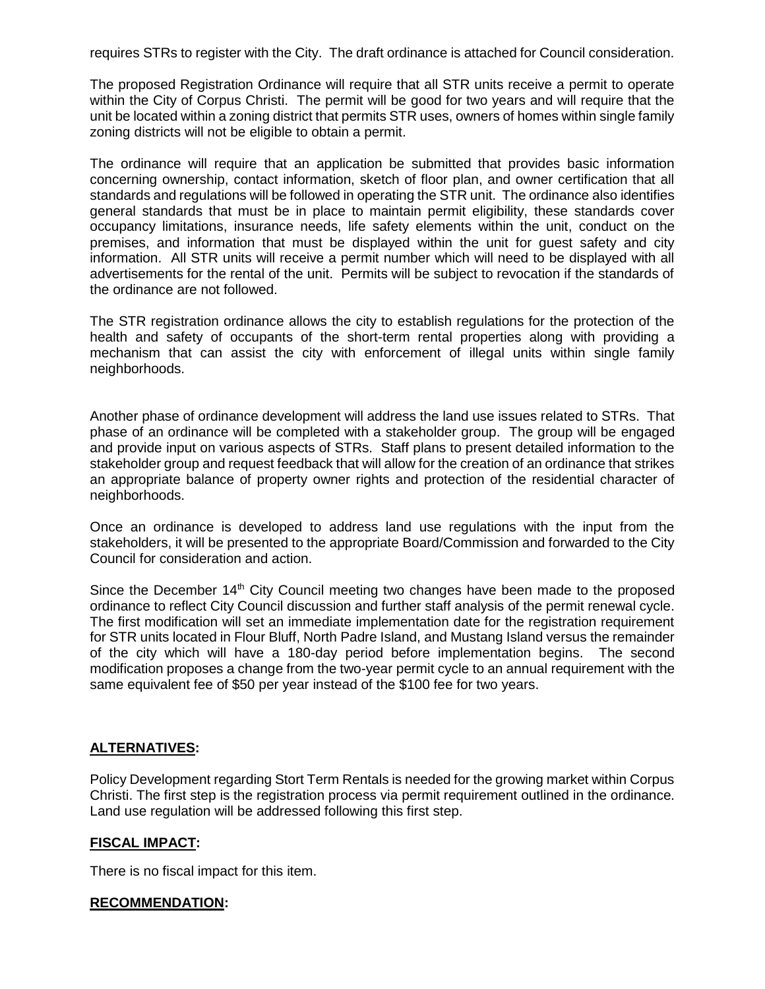requires STRs to register with the City. The draft ordinance is attached for Council consideration.

The proposed Registration Ordinance will require that all STR units receive a permit to operate within the City of Corpus Christi. The permit will be good for two years and will require that the unit be located within a zoning district that permits STR uses, owners of homes within single family zoning districts will not be eligible to obtain a permit.

The ordinance will require that an application be submitted that provides basic information concerning ownership, contact information, sketch of floor plan, and owner certification that all standards and regulations will be followed in operating the STR unit. The ordinance also identifies general standards that must be in place to maintain permit eligibility, these standards cover occupancy limitations, insurance needs, life safety elements within the unit, conduct on the premises, and information that must be displayed within the unit for guest safety and city information. All STR units will receive a permit number which will need to be displayed with all advertisements for the rental of the unit. Permits will be subject to revocation if the standards of the ordinance are not followed.

The STR registration ordinance allows the city to establish regulations for the protection of the health and safety of occupants of the short-term rental properties along with providing a mechanism that can assist the city with enforcement of illegal units within single family neighborhoods.

Another phase of ordinance development will address the land use issues related to STRs. That phase of an ordinance will be completed with a stakeholder group. The group will be engaged and provide input on various aspects of STRs. Staff plans to present detailed information to the stakeholder group and request feedback that will allow for the creation of an ordinance that strikes an appropriate balance of property owner rights and protection of the residential character of neighborhoods.

Once an ordinance is developed to address land use regulations with the input from the stakeholders, it will be presented to the appropriate Board/Commission and forwarded to the City Council for consideration and action.

Since the December  $14<sup>th</sup>$  City Council meeting two changes have been made to the proposed ordinance to reflect City Council discussion and further staff analysis of the permit renewal cycle. The first modification will set an immediate implementation date for the registration requirement for STR units located in Flour Bluff, North Padre Island, and Mustang Island versus the remainder of the city which will have a 180-day period before implementation begins. The second modification proposes a change from the two-year permit cycle to an annual requirement with the same equivalent fee of \$50 per year instead of the \$100 fee for two years.

## **ALTERNATIVES:**

Policy Development regarding Stort Term Rentals is needed for the growing market within Corpus Christi. The first step is the registration process via permit requirement outlined in the ordinance. Land use regulation will be addressed following this first step.

## **FISCAL IMPACT:**

There is no fiscal impact for this item.

### **RECOMMENDATION:**